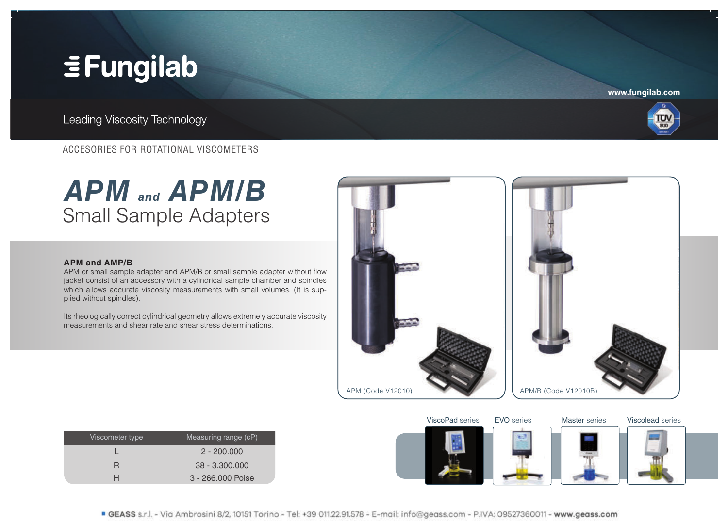## **EFungilab**

**www.fungilab.com**

Leading Viscosity Technology



### ACCESORIES FOR ROTATIONAL VISCOMETERS

### **APM and APM/B** Small Sample Adapters



APM or small sample adapter and APM/B or small sample adapter without flow jacket consist of an accessory with a cylindrical sample chamber and spindles which allows accurate viscosity measurements with small volumes. (It is supplied without spindles).

Its rheologically correct cylindrical geometry allows extremely accurate viscosity measurements and shear rate and shear stress determinations.



| Viscometer type | Measuring range (cP) |
|-----------------|----------------------|
|                 | $2 - 200.000$        |
|                 | $38 - 3.300.000$     |
|                 | 3 - 266,000 Poise    |